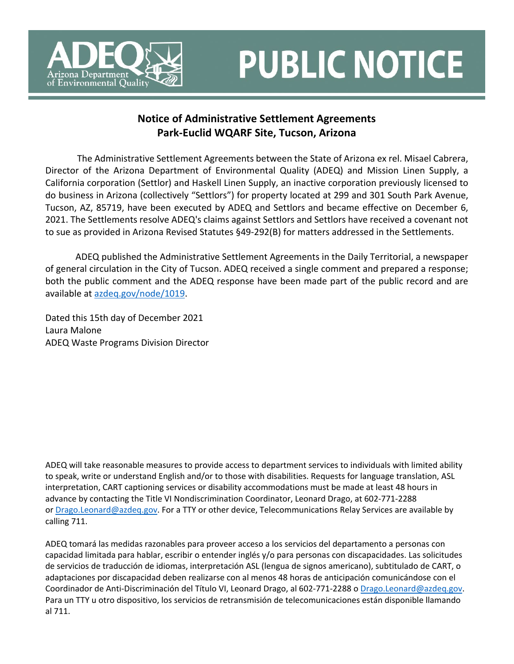

## **PUBLIC NOTICE**

## **Notice of Administrative Settlement Agreements Park-Euclid WQARF Site, Tucson, Arizona**

 The Administrative Settlement Agreements between the State of Arizona ex rel. Misael Cabrera, Director of the Arizona Department of Environmental Quality (ADEQ) and Mission Linen Supply, a California corporation (Settlor) and Haskell Linen Supply, an inactive corporation previously licensed to do business in Arizona (collectively "Settlors") for property located at 299 and 301 South Park Avenue, Tucson, AZ, 85719, have been executed by ADEQ and Settlors and became effective on December 6, 2021. The Settlements resolve ADEQ's claims against Settlors and Settlors have received a covenant not to sue as provided in Arizona Revised Statutes §49-292(B) for matters addressed in the Settlements.

ADEQ published the Administrative Settlement Agreements in the Daily Territorial, a newspaper of general circulation in the City of Tucson. ADEQ received a single comment and prepared a response; both the public comment and the ADEQ response have been made part of the public record and are available at [azdeq.gov/node/1019.](https://azdeq.gov/node/1019)

Dated this 15th day of December 2021 Laura Malone ADEQ Waste Programs Division Director

ADEQ will take reasonable measures to provide access to department services to individuals with limited ability to speak, write or understand English and/or to those with disabilities. Requests for language translation, ASL interpretation, CART captioning services or disability accommodations must be made at least 48 hours in advance by contacting the Title VI Nondiscrimination Coordinator, Leonard Drago, at 602-771-2288 or [Drago.Leonard@azdeq.gov.](mailto:Drago.Leonard@azdeq.gov) For a TTY or other device, Telecommunications Relay Services are available by calling 711.

ADEQ tomará las medidas razonables para proveer acceso a los servicios del departamento a personas con capacidad limitada para hablar, escribir o entender inglés y/o para personas con discapacidades. Las solicitudes de servicios de traducción de idiomas, interpretación ASL (lengua de signos americano), subtitulado de CART, o adaptaciones por discapacidad deben realizarse con al menos 48 horas de anticipación comunicándose con el Coordinador de Anti-Discriminación del Título VI, Leonard Drago, al 602-771-2288 o [Drago.Leonard@azdeq.gov.](mailto:Drago.Leonard@azdeq.gov) Para un TTY u otro dispositivo, los servicios de retransmisión de telecomunicaciones están disponible llamando al 711.